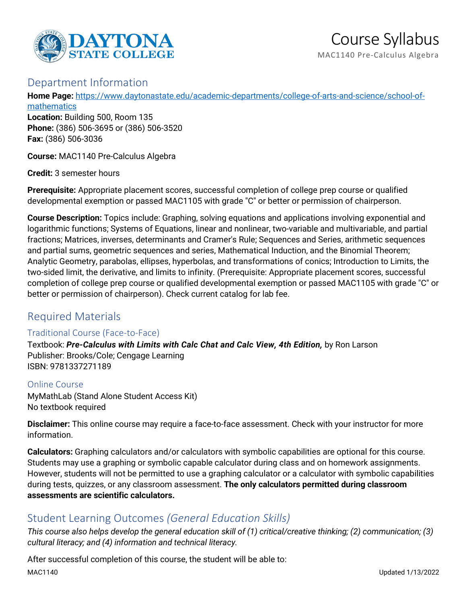

## Department Information

**Home Page:** [https://www.daytonastate.edu/academic-departments/college-of-arts-and-science/school-of-](https://www.daytonastate.edu/academic-departments/college-of-arts-and-science/school-of-mathematics)

**[mathematics](https://www.daytonastate.edu/academic-departments/college-of-arts-and-science/school-of-mathematics) Location:** Building 500, Room 135 **Phone:** (386) 506-3695 or (386) 506-3520 **Fax:** (386) 506-3036

**Course:** MAC1140 Pre-Calculus Algebra

**Credit:** 3 semester hours

**Prerequisite:** Appropriate placement scores, successful completion of college prep course or qualified developmental exemption or passed MAC1105 with grade "C" or better or permission of chairperson.

**Course Description:** Topics include: Graphing, solving equations and applications involving exponential and logarithmic functions; Systems of Equations, linear and nonlinear, two-variable and multivariable, and partial fractions; Matrices, inverses, determinants and Cramer's Rule; Sequences and Series, arithmetic sequences and partial sums, geometric sequences and series, Mathematical Induction, and the Binomial Theorem; Analytic Geometry, parabolas, ellipses, hyperbolas, and transformations of conics; Introduction to Limits, the two-sided limit, the derivative, and limits to infinity. (Prerequisite: Appropriate placement scores, successful completion of college prep course or qualified developmental exemption or passed MAC1105 with grade "C" or better or permission of chairperson). Check current catalog for lab fee.

## Required Materials

### Traditional Course (Face-to-Face)

Textbook: *Pre-Calculus with Limits with Calc Chat and Calc View, 4th Edition,* by Ron Larson Publisher: Brooks/Cole; Cengage Learning ISBN: 9781337271189

Online Course MyMathLab (Stand Alone Student Access Kit) No textbook required

**Disclaimer:** This online course may require a face-to-face assessment. Check with your instructor for more information.

**Calculators:** Graphing calculators and/or calculators with symbolic capabilities are optional for this course. Students may use a graphing or symbolic capable calculator during class and on homework assignments. However, students will not be permitted to use a graphing calculator or a calculator with symbolic capabilities during tests, quizzes, or any classroom assessment. **The only calculators permitted during classroom assessments are scientific calculators.**

# Student Learning Outcomes *(General Education Skills)*

*This course also helps develop the general education skill of (1) critical/creative thinking; (2) communication; (3) cultural literacy; and (4) information and technical literacy.*

After successful completion of this course, the student will be able to: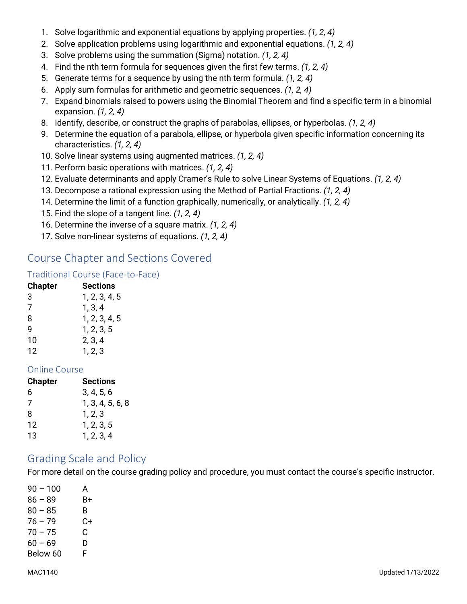- 1. Solve logarithmic and exponential equations by applying properties. *(1, 2, 4)*
- 2. Solve application problems using logarithmic and exponential equations. *(1, 2, 4)*
- 3. Solve problems using the summation (Sigma) notation. *(1, 2, 4)*
- 4. Find the nth term formula for sequences given the first few terms. *(1, 2, 4)*
- 5. Generate terms for a sequence by using the nth term formula. *(1, 2, 4)*
- 6. Apply sum formulas for arithmetic and geometric sequences. *(1, 2, 4)*
- 7. Expand binomials raised to powers using the Binomial Theorem and find a specific term in a binomial expansion. *(1, 2, 4)*
- 8. Identify, describe, or construct the graphs of parabolas, ellipses, or hyperbolas. *(1, 2, 4)*
- 9. Determine the equation of a parabola, ellipse, or hyperbola given specific information concerning its characteristics. *(1, 2, 4)*
- 10. Solve linear systems using augmented matrices. *(1, 2, 4)*
- 11. Perform basic operations with matrices. *(1, 2, 4)*
- 12. Evaluate determinants and apply Cramer's Rule to solve Linear Systems of Equations. *(1, 2, 4)*
- 13. Decompose a rational expression using the Method of Partial Fractions. *(1, 2, 4)*
- 14. Determine the limit of a function graphically, numerically, or analytically. *(1, 2, 4)*
- 15. Find the slope of a tangent line. *(1, 2, 4)*
- 16. Determine the inverse of a square matrix. *(1, 2, 4)*
- 17. Solve non-linear systems of equations. *(1, 2, 4)*

# Course Chapter and Sections Covered

### Traditional Course (Face-to-Face)

| <b>Chapter</b> | <b>Sections</b> |
|----------------|-----------------|
| 3              | 1, 2, 3, 4, 5   |
| 7              | 1, 3, 4         |
| 8              | 1, 2, 3, 4, 5   |
| q              | 1, 2, 3, 5      |
| 10             | 2, 3, 4         |
| 12             | 1, 2, 3         |

### Online Course

| <b>Chapter</b> | <b>Sections</b>  |
|----------------|------------------|
| 6              | 3, 4, 5, 6       |
| 7              | 1, 3, 4, 5, 6, 8 |
| 8              | 1, 2, 3          |
| 12             | 1, 2, 3, 5       |
| 13             | 1, 2, 3, 4       |

## Grading Scale and Policy

For more detail on the course grading policy and procedure, you must contact the course's specific instructor.

| $90 - 100$ | A  |
|------------|----|
| $86 - 89$  | B+ |
| $80 - 85$  | B. |
| $76 - 79$  | C+ |
| $70 - 75$  | C. |
| $60 - 69$  | D  |
| Below 60   | F  |
|            |    |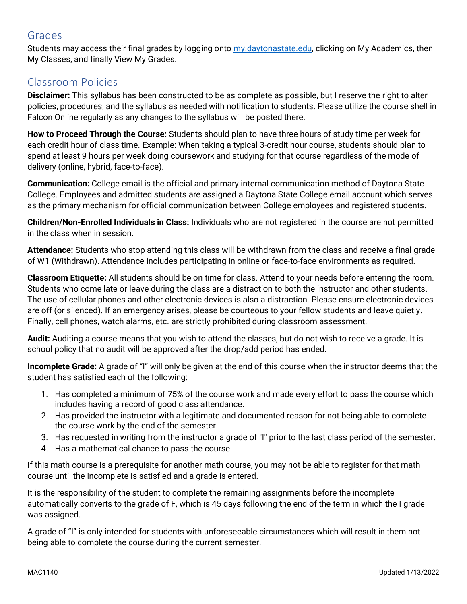# Grades

Students may access their final grades by logging onto [my.daytonastate.edu,](https://my.daytonastate.edu/) clicking on My Academics, then My Classes, and finally View My Grades.

# Classroom Policies

**Disclaimer:** This syllabus has been constructed to be as complete as possible, but I reserve the right to alter policies, procedures, and the syllabus as needed with notification to students. Please utilize the course shell in Falcon Online regularly as any changes to the syllabus will be posted there.

**How to Proceed Through the Course:** Students should plan to have three hours of study time per week for each credit hour of class time. Example: When taking a typical 3-credit hour course, students should plan to spend at least 9 hours per week doing coursework and studying for that course regardless of the mode of delivery (online, hybrid, face-to-face).

**Communication:** College email is the official and primary internal communication method of Daytona State College. Employees and admitted students are assigned a Daytona State College email account which serves as the primary mechanism for official communication between College employees and registered students.

**Children/Non-Enrolled Individuals in Class:** Individuals who are not registered in the course are not permitted in the class when in session.

**Attendance:** Students who stop attending this class will be withdrawn from the class and receive a final grade of W1 (Withdrawn). Attendance includes participating in online or face-to-face environments as required.

**Classroom Etiquette:** All students should be on time for class. Attend to your needs before entering the room. Students who come late or leave during the class are a distraction to both the instructor and other students. The use of cellular phones and other electronic devices is also a distraction. Please ensure electronic devices are off (or silenced). If an emergency arises, please be courteous to your fellow students and leave quietly. Finally, cell phones, watch alarms, etc. are strictly prohibited during classroom assessment.

**Audit:** Auditing a course means that you wish to attend the classes, but do not wish to receive a grade. It is school policy that no audit will be approved after the drop/add period has ended.

**Incomplete Grade:** A grade of "I" will only be given at the end of this course when the instructor deems that the student has satisfied each of the following:

- 1. Has completed a minimum of 75% of the course work and made every effort to pass the course which includes having a record of good class attendance.
- 2. Has provided the instructor with a legitimate and documented reason for not being able to complete the course work by the end of the semester.
- 3. Has requested in writing from the instructor a grade of "I" prior to the last class period of the semester.
- 4. Has a mathematical chance to pass the course.

If this math course is a prerequisite for another math course, you may not be able to register for that math course until the incomplete is satisfied and a grade is entered.

It is the responsibility of the student to complete the remaining assignments before the incomplete automatically converts to the grade of F, which is 45 days following the end of the term in which the I grade was assigned.

A grade of "I" is only intended for students with unforeseeable circumstances which will result in them not being able to complete the course during the current semester.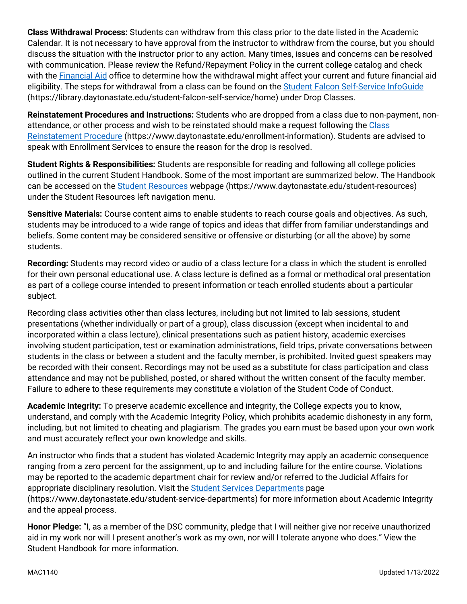**Class Withdrawal Process:** Students can withdraw from this class prior to the date listed in the Academic Calendar. It is not necessary to have approval from the instructor to withdraw from the course, but you should discuss the situation with the instructor prior to any action. Many times, issues and concerns can be resolved with communication. Please review the Refund/Repayment Policy in the current college catalog and check with the [Financial Aid](https://www.daytonastate.edu/financial-aid) office to determine how the withdrawal might affect your current and future financial aid eligibility. The steps for withdrawal from a class can be found on the **Student Falcon Self-Service InfoGuide** (https://library.daytonastate.edu/student-falcon-self-service/home) under Drop Classes.

**Reinstatement Procedures and Instructions:** Students who are dropped from a class due to non-payment, nonattendance, or other process and wish to be reinstated should make a request following the Class [Reinstatement Procedure](https://www.daytonastate.edu/enrollment-information/index.html) (https://www.daytonastate.edu/enrollment-information). Students are advised to speak with Enrollment Services to ensure the reason for the drop is resolved.

**Student Rights & Responsibilities:** Students are responsible for reading and following all college policies outlined in the current Student Handbook. Some of the most important are summarized below. The Handbook can be accessed on the [Student Resources](https://www.daytonastate.edu/student-resources) webpage (https://www.daytonastate.edu/student-resources) under the Student Resources left navigation menu.

**Sensitive Materials:** Course content aims to enable students to reach course goals and objectives. As such, students may be introduced to a wide range of topics and ideas that differ from familiar understandings and beliefs. Some content may be considered sensitive or offensive or disturbing (or all the above) by some students.

**Recording:** Students may record video or audio of a class lecture for a class in which the student is enrolled for their own personal educational use. A class lecture is defined as a formal or methodical oral presentation as part of a college course intended to present information or teach enrolled students about a particular subject.

Recording class activities other than class lectures, including but not limited to lab sessions, student presentations (whether individually or part of a group), class discussion (except when incidental to and incorporated within a class lecture), clinical presentations such as patient history, academic exercises involving student participation, test or examination administrations, field trips, private conversations between students in the class or between a student and the faculty member, is prohibited. Invited guest speakers may be recorded with their consent. Recordings may not be used as a substitute for class participation and class attendance and may not be published, posted, or shared without the written consent of the faculty member. Failure to adhere to these requirements may constitute a violation of the Student Code of Conduct.

**Academic Integrity:** To preserve academic excellence and integrity, the College expects you to know, understand, and comply with the Academic Integrity Policy, which prohibits academic dishonesty in any form, including, but not limited to cheating and plagiarism. The grades you earn must be based upon your own work and must accurately reflect your own knowledge and skills.

An instructor who finds that a student has violated Academic Integrity may apply an academic consequence ranging from a zero percent for the assignment, up to and including failure for the entire course. Violations may be reported to the academic department chair for review and/or referred to the Judicial Affairs for appropriate disciplinary resolution. Visit the [Student Services Departments](https://www.daytonastate.edu/student-service-departments) page (https://www.daytonastate.edu/student-service-departments) for more information about Academic Integrity and the appeal process.

**Honor Pledge:** "I, as a member of the DSC community, pledge that I will neither give nor receive unauthorized aid in my work nor will I present another's work as my own, nor will I tolerate anyone who does." View the Student Handbook for more information.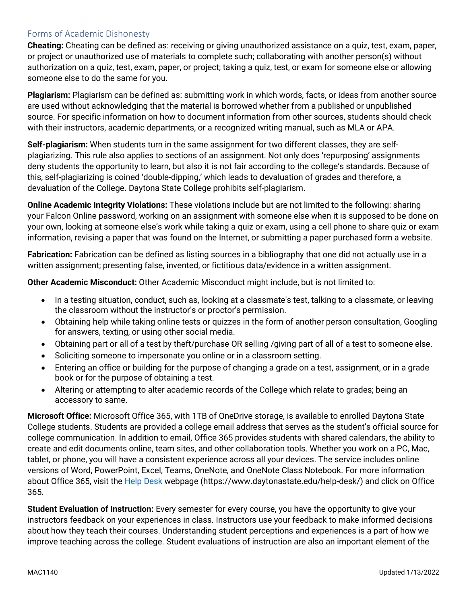#### Forms of Academic Dishonesty

**Cheating:** Cheating can be defined as: receiving or giving unauthorized assistance on a quiz, test, exam, paper, or project or unauthorized use of materials to complete such; collaborating with another person(s) without authorization on a quiz, test, exam, paper, or project; taking a quiz, test, or exam for someone else or allowing someone else to do the same for you.

**Plagiarism:** Plagiarism can be defined as: submitting work in which words, facts, or ideas from another source are used without acknowledging that the material is borrowed whether from a published or unpublished source. For specific information on how to document information from other sources, students should check with their instructors, academic departments, or a recognized writing manual, such as MLA or APA.

**Self-plagiarism:** When students turn in the same assignment for two different classes, they are selfplagiarizing. This rule also applies to sections of an assignment. Not only does 'repurposing' assignments deny students the opportunity to learn, but also it is not fair according to the college's standards. Because of this, self-plagiarizing is coined 'double-dipping,' which leads to devaluation of grades and therefore, a devaluation of the College. Daytona State College prohibits self-plagiarism.

**Online Academic Integrity Violations:** These violations include but are not limited to the following: sharing your Falcon Online password, working on an assignment with someone else when it is supposed to be done on your own, looking at someone else's work while taking a quiz or exam, using a cell phone to share quiz or exam information, revising a paper that was found on the Internet, or submitting a paper purchased form a website.

**Fabrication:** Fabrication can be defined as listing sources in a bibliography that one did not actually use in a written assignment; presenting false, invented, or fictitious data/evidence in a written assignment.

**Other Academic Misconduct:** Other Academic Misconduct might include, but is not limited to:

- In a testing situation, conduct, such as, looking at a classmate's test, talking to a classmate, or leaving the classroom without the instructor's or proctor's permission.
- Obtaining help while taking online tests or quizzes in the form of another person consultation, Googling for answers, texting, or using other social media.
- Obtaining part or all of a test by theft/purchase OR selling /giving part of all of a test to someone else.
- Soliciting someone to impersonate you online or in a classroom setting.
- Entering an office or building for the purpose of changing a grade on a test, assignment, or in a grade book or for the purpose of obtaining a test.
- Altering or attempting to alter academic records of the College which relate to grades; being an accessory to same.

**Microsoft Office:** Microsoft Office 365, with 1TB of OneDrive storage, is available to enrolled Daytona State College students. Students are provided a college email address that serves as the student's official source for college communication. In addition to email, Office 365 provides students with shared calendars, the ability to create and edit documents online, team sites, and other collaboration tools. Whether you work on a PC, Mac, tablet, or phone, you will have a consistent experience across all your devices. The service includes online versions of Word, PowerPoint, Excel, Teams, OneNote, and OneNote Class Notebook. For more information about Office 365, visit the **Help Desk** webpage (https://www.daytonastate.edu/help-desk/) and click on Office 365.

**Student Evaluation of Instruction:** Every semester for every course, you have the opportunity to give your instructors feedback on your experiences in class. Instructors use your feedback to make informed decisions about how they teach their courses. Understanding student perceptions and experiences is a part of how we improve teaching across the college. Student evaluations of instruction are also an important element of the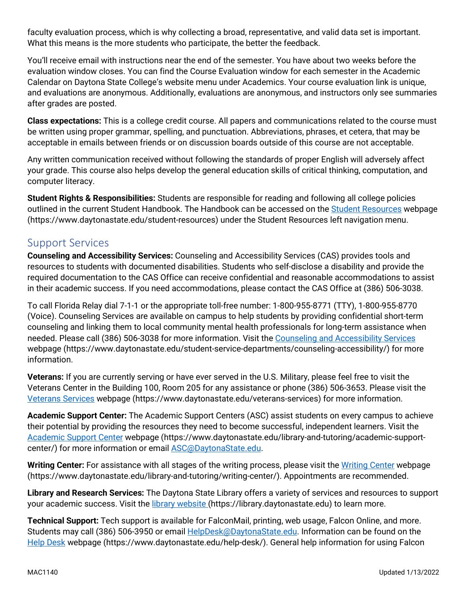faculty evaluation process, which is why collecting a broad, representative, and valid data set is important. What this means is the more students who participate, the better the feedback.

You'll receive email with instructions near the end of the semester. You have about two weeks before the evaluation window closes. You can find the Course Evaluation window for each semester in the Academic Calendar on Daytona State College's website menu under Academics. Your course evaluation link is unique, and evaluations are anonymous. Additionally, evaluations are anonymous, and instructors only see summaries after grades are posted.

**Class expectations:** This is a college credit course. All papers and communications related to the course must be written using proper grammar, spelling, and punctuation. Abbreviations, phrases, et cetera, that may be acceptable in emails between friends or on discussion boards outside of this course are not acceptable.

Any written communication received without following the standards of proper English will adversely affect your grade. This course also helps develop the general education skills of critical thinking, computation, and computer literacy.

**Student Rights & Responsibilities:** Students are responsible for reading and following all college policies outlined in the current Student Handbook. The Handbook can be accessed on the [Student Resources](https://www.daytonastate.edu/student-resources) webpage (https://www.daytonastate.edu/student-resources) under the Student Resources left navigation menu.

## Support Services

**Counseling and Accessibility Services:** Counseling and Accessibility Services (CAS) provides tools and resources to students with documented disabilities. Students who self-disclose a disability and provide the required documentation to the CAS Office can receive confidential and reasonable accommodations to assist in their academic success. If you need accommodations, please contact the CAS Office at (386) 506-3038.

To call Florida Relay dial 7-1-1 or the appropriate toll-free number: 1-800-955-8771 (TTY), 1-800-955-8770 (Voice). Counseling Services are available on campus to help students by providing confidential short-term counseling and linking them to local community mental health professionals for long-term assistance when needed. Please call (386) 506-3038 for more information. Visit the [Counseling and Accessibility Services](https://www.daytonastate.edu/student-service-departments/counseling-accessibility/) webpage (https://www.daytonastate.edu/student-service-departments/counseling-accessibility/) for more information.

**Veterans:** If you are currently serving or have ever served in the U.S. Military, please feel free to visit the Veterans Center in the Building 100, Room 205 for any assistance or phone (386) 506-3653. Please visit the [Veterans Services](https://www.daytonastate.edu/veterans-services) webpage (https://www.daytonastate.edu/veterans-services) for more information.

**Academic Support Center:** The Academic Support Centers (ASC) assist students on every campus to achieve their potential by providing the resources they need to become successful, independent learners. Visit the [Academic Support Center](https://www.daytonastate.edu/library-and-tutoring/academic-support-center/index.html) webpage (https://www.daytonastate.edu/library-and-tutoring/academic-supportcenter/) for more information or email **ASC@DaytonaState.edu**.

Writing Center: For assistance with all stages of the writing process, please visit the [Writing Center](https://www.daytonastate.edu/library-and-tutoring/writing-center/) webpage (https://www.daytonastate.edu/library-and-tutoring/writing-center/). Appointments are recommended.

**Library and Research Services:** The Daytona State Library offers a variety of services and resources to support your academic success. Visit the [library website \(](https://library.daytonastate.edu/index)https://library.daytonastate.edu) to learn more.

**Technical Support:** Tech support is available for FalconMail, printing, web usage, Falcon Online, and more. Students may call (386) 506-3950 or email **HelpDesk@DaytonaState.edu**. Information can be found on the [Help Desk](https://www.daytonastate.edu/help-desk/) webpage (https://www.daytonastate.edu/help-desk/). General help information for using Falcon